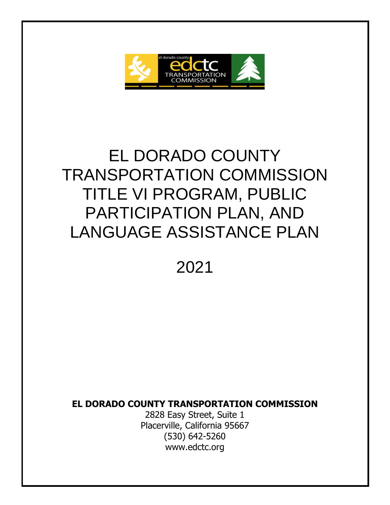

# EL DORADO COUNTY TRANSPORTATION COMMISSION TITLE VI PROGRAM, PUBLIC PARTICIPATION PLAN, AND LANGUAGE ASSISTANCE PLAN

2021

**EL DORADO COUNTY TRANSPORTATION COMMISSION** 

2828 Easy Street, Suite 1 Placerville, California 95667 (530) 642-5260 www.edctc.org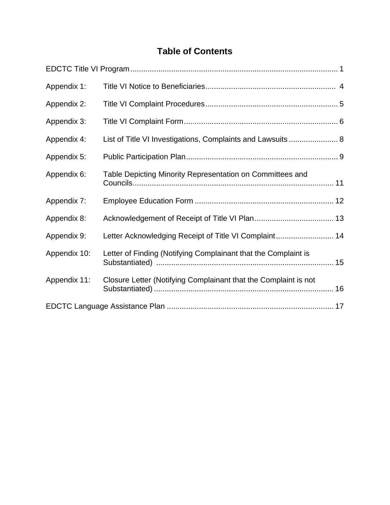# **Table of Contents**

| Appendix 1:  |                                                                 |  |
|--------------|-----------------------------------------------------------------|--|
| Appendix 2:  |                                                                 |  |
| Appendix 3:  |                                                                 |  |
| Appendix 4:  | List of Title VI Investigations, Complaints and Lawsuits  8     |  |
| Appendix 5:  |                                                                 |  |
| Appendix 6:  | Table Depicting Minority Representation on Committees and       |  |
| Appendix 7:  |                                                                 |  |
| Appendix 8:  |                                                                 |  |
| Appendix 9:  | Letter Acknowledging Receipt of Title VI Complaint 14           |  |
| Appendix 10: | Letter of Finding (Notifying Complainant that the Complaint is  |  |
| Appendix 11: | Closure Letter (Notifying Complainant that the Complaint is not |  |
|              |                                                                 |  |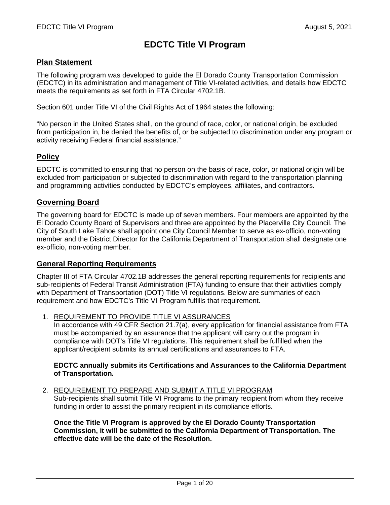# **EDCTC Title VI Program**

## **Plan Statement**

The following program was developed to guide the El Dorado County Transportation Commission (EDCTC) in its administration and management of Title VI-related activities, and details how EDCTC meets the requirements as set forth in FTA Circular 4702.1B.

Section 601 under Title VI of the Civil Rights Act of 1964 states the following:

"No person in the United States shall, on the ground of race, color, or national origin, be excluded from participation in, be denied the benefits of, or be subjected to discrimination under any program or activity receiving Federal financial assistance."

# **Policy**

EDCTC is committed to ensuring that no person on the basis of race, color, or national origin will be excluded from participation or subjected to discrimination with regard to the transportation planning and programming activities conducted by EDCTC's employees, affiliates, and contractors.

## **Governing Board**

The governing board for EDCTC is made up of seven members. Four members are appointed by the El Dorado County Board of Supervisors and three are appointed by the Placerville City Council. The City of South Lake Tahoe shall appoint one City Council Member to serve as ex-officio, non-voting member and the District Director for the California Department of Transportation shall designate one ex-officio, non-voting member.

## **General Reporting Requirements**

Chapter III of FTA Circular 4702.1B addresses the general reporting requirements for recipients and sub-recipients of Federal Transit Administration (FTA) funding to ensure that their activities comply with Department of Transportation (DOT) Title VI regulations. Below are summaries of each requirement and how EDCTC's Title VI Program fulfills that requirement.

1. REQUIREMENT TO PROVIDE TITLE VI ASSURANCES

In accordance with 49 CFR Section 21.7(a), every application for financial assistance from FTA must be accompanied by an assurance that the applicant will carry out the program in compliance with DOT's Title VI regulations. This requirement shall be fulfilled when the applicant/recipient submits its annual certifications and assurances to FTA.

#### **EDCTC annually submits its Certifications and Assurances to the California Department of Transportation.**

#### 2. REQUIREMENT TO PREPARE AND SUBMIT A TITLE VI PROGRAM

Sub-recipients shall submit Title VI Programs to the primary recipient from whom they receive funding in order to assist the primary recipient in its compliance efforts.

**Once the Title VI Program is approved by the El Dorado County Transportation Commission, it will be submitted to the California Department of Transportation. The effective date will be the date of the Resolution.**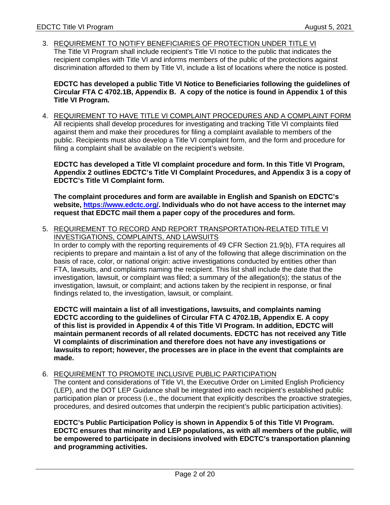3. REQUIREMENT TO NOTIFY BENEFICIARIES OF PROTECTION UNDER TITLE VI The Title VI Program shall include recipient's Title VI notice to the public that indicates the recipient complies with Title VI and informs members of the public of the protections against discrimination afforded to them by Title VI, include a list of locations where the notice is posted.

**EDCTC has developed a public Title VI Notice to Beneficiaries following the guidelines of Circular FTA C 4702.1B, Appendix B. A copy of the notice is found in Appendix 1 of this Title VI Program.** 

4. REQUIREMENT TO HAVE TITLE VI COMPLAINT PROCEDURES AND A COMPLAINT FORM All recipients shall develop procedures for investigating and tracking Title VI complaints filed against them and make their procedures for filing a complaint available to members of the public. Recipients must also develop a Title VI complaint form, and the form and procedure for filing a complaint shall be available on the recipient's website.

**EDCTC has developed a Title VI complaint procedure and form. In this Title VI Program, Appendix 2 outlines EDCTC's Title VI Complaint Procedures, and Appendix 3 is a copy of EDCTC's Title VI Complaint form.** 

**The complaint procedures and form are available in English and Spanish on EDCTC's website, https://www.edctc.org/. Individuals who do not have access to the internet may request that EDCTC mail them a paper copy of the procedures and form.** 

5. REQUIREMENT TO RECORD AND REPORT TRANSPORTATION-RELATED TITLE VI INVESTIGATIONS, COMPLAINTS, AND LAWSUITS

In order to comply with the reporting requirements of 49 CFR Section 21.9(b), FTA requires all recipients to prepare and maintain a list of any of the following that allege discrimination on the basis of race, color, or national origin: active investigations conducted by entities other than FTA, lawsuits, and complaints naming the recipient. This list shall include the date that the investigation, lawsuit, or complaint was filed; a summary of the allegation(s); the status of the investigation, lawsuit, or complaint; and actions taken by the recipient in response, or final findings related to, the investigation, lawsuit, or complaint.

**EDCTC will maintain a list of all investigations, lawsuits, and complaints naming EDCTC according to the guidelines of Circular FTA C 4702.1B, Appendix E. A copy of this list is provided in Appendix 4 of this Title VI Program. In addition, EDCTC will maintain permanent records of all related documents. EDCTC has not received any Title VI complaints of discrimination and therefore does not have any investigations or lawsuits to report; however, the processes are in place in the event that complaints are made.** 

#### 6. REQUIREMENT TO PROMOTE INCLUSIVE PUBLIC PARTICIPATION

The content and considerations of Title VI, the Executive Order on Limited English Proficiency (LEP), and the DOT LEP Guidance shall be integrated into each recipient's established public participation plan or process (i.e., the document that explicitly describes the proactive strategies, procedures, and desired outcomes that underpin the recipient's public participation activities).

**EDCTC's Public Participation Policy is shown in Appendix 5 of this Title VI Program. EDCTC ensures that minority and LEP populations, as with all members of the public, will be empowered to participate in decisions involved with EDCTC's transportation planning and programming activities.**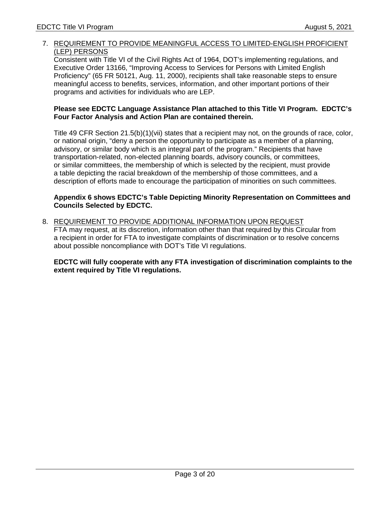## 7. REQUIREMENT TO PROVIDE MEANINGFUL ACCESS TO LIMITED-ENGLISH PROFICIENT (LEP) PERSONS

Consistent with Title VI of the Civil Rights Act of 1964, DOT's implementing regulations, and Executive Order 13166, "Improving Access to Services for Persons with Limited English Proficiency" (65 FR 50121, Aug. 11, 2000), recipients shall take reasonable steps to ensure meaningful access to benefits, services, information, and other important portions of their programs and activities for individuals who are LEP.

#### **Please see EDCTC Language Assistance Plan attached to this Title VI Program. EDCTC's Four Factor Analysis and Action Plan are contained therein.**

Title 49 CFR Section 21.5(b)(1)(vii) states that a recipient may not, on the grounds of race, color, or national origin, "deny a person the opportunity to participate as a member of a planning, advisory, or similar body which is an integral part of the program." Recipients that have transportation-related, non-elected planning boards, advisory councils, or committees, or similar committees, the membership of which is selected by the recipient, must provide a table depicting the racial breakdown of the membership of those committees, and a description of efforts made to encourage the participation of minorities on such committees.

#### **Appendix 6 shows EDCTC's Table Depicting Minority Representation on Committees and Councils Selected by EDCTC.**

8. REQUIREMENT TO PROVIDE ADDITIONAL INFORMATION UPON REQUEST FTA may request, at its discretion, information other than that required by this Circular from a recipient in order for FTA to investigate complaints of discrimination or to resolve concerns about possible noncompliance with DOT's Title VI regulations.

**EDCTC will fully cooperate with any FTA investigation of discrimination complaints to the extent required by Title VI regulations.**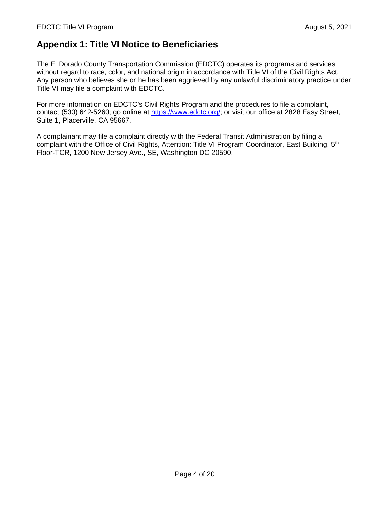# **Appendix 1: Title VI Notice to Beneficiaries**

The El Dorado County Transportation Commission (EDCTC) operates its programs and services without regard to race, color, and national origin in accordance with Title VI of the Civil Rights Act. Any person who believes she or he has been aggrieved by any unlawful discriminatory practice under Title VI may file a complaint with EDCTC.

For more information on EDCTC's Civil Rights Program and the procedures to file a complaint, contact (530) 642-5260; go online at https://www.edctc.org/; or visit our office at 2828 Easy Street, Suite 1, Placerville, CA 95667.

A complainant may file a complaint directly with the Federal Transit Administration by filing a complaint with the Office of Civil Rights, Attention: Title VI Program Coordinator, East Building, 5<sup>th</sup> Floor-TCR, 1200 New Jersey Ave., SE, Washington DC 20590.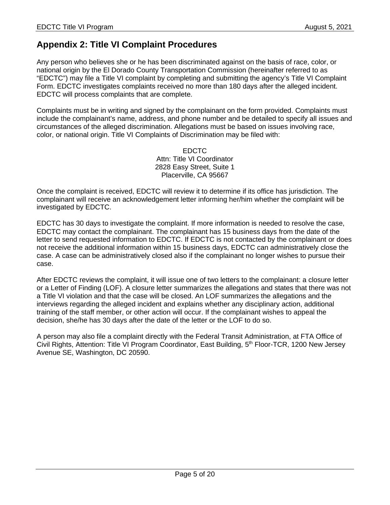# **Appendix 2: Title VI Complaint Procedures**

Any person who believes she or he has been discriminated against on the basis of race, color, or national origin by the El Dorado County Transportation Commission (hereinafter referred to as "EDCTC") may file a Title VI complaint by completing and submitting the agency's Title VI Complaint Form. EDCTC investigates complaints received no more than 180 days after the alleged incident. EDCTC will process complaints that are complete.

Complaints must be in writing and signed by the complainant on the form provided. Complaints must include the complainant's name, address, and phone number and be detailed to specify all issues and circumstances of the alleged discrimination. Allegations must be based on issues involving race, color, or national origin. Title VI Complaints of Discrimination may be filed with:

> EDCTC Attn: Title VI Coordinator 2828 Easy Street, Suite 1 Placerville, CA 95667

Once the complaint is received, EDCTC will review it to determine if its office has jurisdiction. The complainant will receive an acknowledgement letter informing her/him whether the complaint will be investigated by EDCTC.

EDCTC has 30 days to investigate the complaint. If more information is needed to resolve the case, EDCTC may contact the complainant. The complainant has 15 business days from the date of the letter to send requested information to EDCTC. If EDCTC is not contacted by the complainant or does not receive the additional information within 15 business days, EDCTC can administratively close the case. A case can be administratively closed also if the complainant no longer wishes to pursue their case.

After EDCTC reviews the complaint, it will issue one of two letters to the complainant: a closure letter or a Letter of Finding (LOF). A closure letter summarizes the allegations and states that there was not a Title VI violation and that the case will be closed. An LOF summarizes the allegations and the interviews regarding the alleged incident and explains whether any disciplinary action, additional training of the staff member, or other action will occur. If the complainant wishes to appeal the decision, she/he has 30 days after the date of the letter or the LOF to do so.

A person may also file a complaint directly with the Federal Transit Administration, at FTA Office of Civil Rights, Attention: Title VI Program Coordinator, East Building, 5<sup>th</sup> Floor-TCR, 1200 New Jersey Avenue SE, Washington, DC 20590.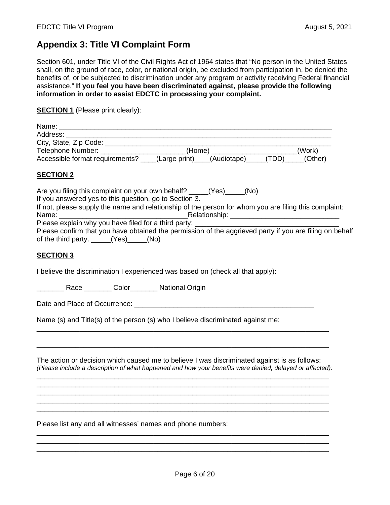# **Appendix 3: Title VI Complaint Form**

Section 601, under Title VI of the Civil Rights Act of 1964 states that "No person in the United States shall, on the ground of race, color, or national origin, be excluded from participation in, be denied the benefits of, or be subjected to discrimination under any program or activity receiving Federal financial assistance." **If you feel you have been discriminated against, please provide the following information in order to assist EDCTC in processing your complaint.** 

**SECTION 1** (Please print clearly):

| Name:                               |                                    |         |
|-------------------------------------|------------------------------------|---------|
| Address:                            |                                    |         |
| City, State, Zip Code:              |                                    |         |
| Telephone Number: Telephone Number: | (Home)                             | (Work)  |
| Accessible format requirements?     | (Large print) (Audiotape)<br>(TDD) | (Other) |

## **SECTION 2**

| Are you filing this complaint on your own behalf? (Yes) (No)                                                                                                                                                                            |
|-----------------------------------------------------------------------------------------------------------------------------------------------------------------------------------------------------------------------------------------|
| If you answered yes to this question, go to Section 3.                                                                                                                                                                                  |
| If not, please supply the name and relationship of the person for whom you are filing this complaint:                                                                                                                                   |
| Relationship: The control of the control of the control of the control of the control of the control of the control of the control of the control of the control of the control of the control of the control of the control o<br>Name: |
| Please explain why you have filed for a third party: ________                                                                                                                                                                           |
| Please confirm that you have obtained the permission of the aggrieved party if you are filing on behalf                                                                                                                                 |
| of the third party. $(Yes)$ (No)                                                                                                                                                                                                        |

#### **SECTION 3**

I believe the discrimination I experienced was based on (check all that apply):

\_\_\_\_\_\_\_ Race \_\_\_\_\_\_\_ Color\_\_\_\_\_\_\_ National Origin

Date and Place of Occurrence: \_\_\_\_\_\_\_\_\_\_\_\_\_\_\_\_\_\_\_\_\_\_\_\_\_\_\_\_\_\_\_\_\_\_\_\_\_\_\_\_\_\_\_\_\_\_

Name (s) and Title(s) of the person (s) who I believe discriminated against me:

The action or decision which caused me to believe I was discriminated against is as follows: *(Please include a description of what happened and how your benefits were denied, delayed or affected):*  \_\_\_\_\_\_\_\_\_\_\_\_\_\_\_\_\_\_\_\_\_\_\_\_\_\_\_\_\_\_\_\_\_\_\_\_\_\_\_\_\_\_\_\_\_\_\_\_\_\_\_\_\_\_\_\_\_\_\_\_\_\_\_\_\_\_\_\_\_\_\_\_\_\_\_

\_\_\_\_\_\_\_\_\_\_\_\_\_\_\_\_\_\_\_\_\_\_\_\_\_\_\_\_\_\_\_\_\_\_\_\_\_\_\_\_\_\_\_\_\_\_\_\_\_\_\_\_\_\_\_\_\_\_\_\_\_\_\_\_\_\_\_\_\_\_\_\_\_\_\_ \_\_\_\_\_\_\_\_\_\_\_\_\_\_\_\_\_\_\_\_\_\_\_\_\_\_\_\_\_\_\_\_\_\_\_\_\_\_\_\_\_\_\_\_\_\_\_\_\_\_\_\_\_\_\_\_\_\_\_\_\_\_\_\_\_\_\_\_\_\_\_\_\_\_\_

\_\_\_\_\_\_\_\_\_\_\_\_\_\_\_\_\_\_\_\_\_\_\_\_\_\_\_\_\_\_\_\_\_\_\_\_\_\_\_\_\_\_\_\_\_\_\_\_\_\_\_\_\_\_\_\_\_\_\_\_\_\_\_\_\_\_\_\_\_\_\_\_\_\_\_

\_\_\_\_\_\_\_\_\_\_\_\_\_\_\_\_\_\_\_\_\_\_\_\_\_\_\_\_\_\_\_\_\_\_\_\_\_\_\_\_\_\_\_\_\_\_\_\_\_\_\_\_\_\_\_\_\_\_\_\_\_\_\_\_\_\_\_\_\_\_\_\_\_\_\_ \_\_\_\_\_\_\_\_\_\_\_\_\_\_\_\_\_\_\_\_\_\_\_\_\_\_\_\_\_\_\_\_\_\_\_\_\_\_\_\_\_\_\_\_\_\_\_\_\_\_\_\_\_\_\_\_\_\_\_\_\_\_\_\_\_\_\_\_\_\_\_\_\_\_\_ \_\_\_\_\_\_\_\_\_\_\_\_\_\_\_\_\_\_\_\_\_\_\_\_\_\_\_\_\_\_\_\_\_\_\_\_\_\_\_\_\_\_\_\_\_\_\_\_\_\_\_\_\_\_\_\_\_\_\_\_\_\_\_\_\_\_\_\_\_\_\_\_\_\_\_

\_\_\_\_\_\_\_\_\_\_\_\_\_\_\_\_\_\_\_\_\_\_\_\_\_\_\_\_\_\_\_\_\_\_\_\_\_\_\_\_\_\_\_\_\_\_\_\_\_\_\_\_\_\_\_\_\_\_\_\_\_\_\_\_\_\_\_\_\_\_\_\_\_\_\_

\_\_\_\_\_\_\_\_\_\_\_\_\_\_\_\_\_\_\_\_\_\_\_\_\_\_\_\_\_\_\_\_\_\_\_\_\_\_\_\_\_\_\_\_\_\_\_\_\_\_\_\_\_\_\_\_\_\_\_\_\_\_\_\_\_\_\_\_\_\_\_\_\_\_\_

Please list any and all witnesses' names and phone numbers: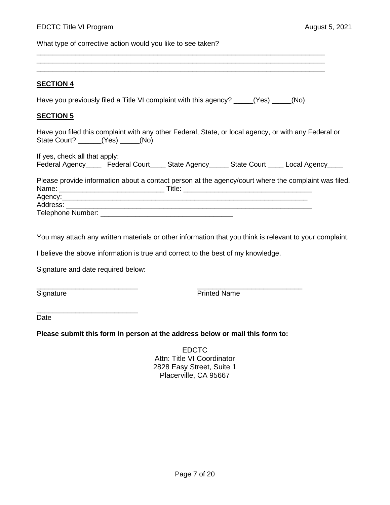What type of corrective action would you like to see taken?

#### **SECTION 4**

Have you previously filed a Title VI complaint with this agency? \_\_\_\_\_(Yes) \_\_\_\_\_(No)

\_\_\_\_\_\_\_\_\_\_\_\_\_\_\_\_\_\_\_\_\_\_\_\_\_\_\_\_\_\_\_\_\_\_\_\_\_\_\_\_\_\_\_\_\_\_\_\_\_\_\_\_\_\_\_\_\_\_\_\_\_\_\_\_\_\_\_\_\_\_\_\_\_\_

\_\_\_\_\_\_\_\_\_\_\_\_\_\_\_\_\_\_\_\_\_\_\_\_\_\_\_\_\_\_\_\_\_\_\_\_\_\_\_\_\_\_\_\_\_\_\_\_\_\_\_\_\_\_\_\_\_\_\_\_\_\_\_\_\_\_\_\_\_\_\_\_\_\_

#### **SECTION 5**

Have you filed this complaint with any other Federal, State, or local agency, or with any Federal or State Court? \_\_\_\_\_\_(Yes) \_\_\_\_\_(No)

If yes, check all that apply: Federal Agency\_\_\_\_ Federal Court\_\_\_\_ State Agency\_\_\_\_\_ State Court \_\_\_\_ Local Agency\_\_\_\_

Please provide information about a contact person at the agency/court where the complaint was filed. Name: \_\_\_\_\_\_\_\_\_\_\_\_\_\_\_\_\_\_\_\_\_\_\_\_\_\_\_ Title: \_\_\_\_\_\_\_\_\_\_\_\_\_\_\_\_\_\_\_\_\_\_\_\_\_\_\_\_\_\_\_\_\_ Agency: 2008. 2008. 2008. 2008. 2008. 2008. 2008. 2009. 2009. 2009. 2009. 2009. 2009. 2009. 2009. 2009. 2009. <br>- 2009. 2009. 2009. 2009. 2009. 2009. 2009. 2009. 2009. 2009. 2009. 2009. 2009. 2009. 2009. 2009. 2009. 2009. Address: \_\_\_\_\_\_\_\_\_\_\_\_\_\_\_\_\_\_\_\_\_\_\_\_\_\_\_\_\_\_\_\_\_\_\_\_\_\_\_\_\_\_\_\_\_\_\_\_\_\_\_\_\_\_\_\_\_\_\_\_\_\_\_ Telephone Number: \_\_\_\_\_\_\_\_\_\_\_\_\_\_\_\_\_\_\_\_\_\_\_\_\_\_\_\_\_\_\_\_\_\_

You may attach any written materials or other information that you think is relevant to your complaint.

I believe the above information is true and correct to the best of my knowledge.

Signature and date required below:

\_\_\_\_\_\_\_\_\_\_\_\_\_\_\_\_\_\_\_\_\_\_\_\_\_\_

Signature **Printed Name** 

Date

**Please submit this form in person at the address below or mail this form to:** 

\_\_\_\_\_\_\_\_\_\_\_\_\_\_\_\_\_\_\_\_\_\_\_\_\_\_ \_\_\_\_\_\_\_\_\_\_\_\_\_\_\_\_\_\_\_\_\_\_\_\_\_\_\_

EDCTC Attn: Title VI Coordinator 2828 Easy Street, Suite 1 Placerville, CA 95667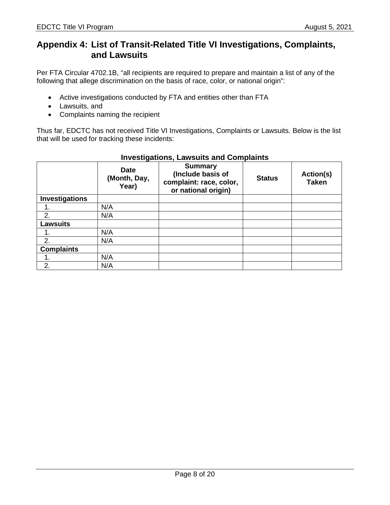# **Appendix 4: List of Transit-Related Title VI Investigations, Complaints, and Lawsuits**

Per FTA Circular 4702.1B, "all recipients are required to prepare and maintain a list of any of the following that allege discrimination on the basis of race, color, or national origin":

- Active investigations conducted by FTA and entities other than FTA
- Lawsuits, and
- Complaints naming the recipient

Thus far, EDCTC has not received Title VI Investigations, Complaints or Lawsuits. Below is the list that will be used for tracking these incidents:

|                       | <b>Date</b><br>(Month, Day,<br>Year) | <b>Summary</b><br>(Include basis of<br>complaint: race, color,<br>or national origin) | <b>Status</b> | Action(s)<br><b>Taken</b> |
|-----------------------|--------------------------------------|---------------------------------------------------------------------------------------|---------------|---------------------------|
| <b>Investigations</b> |                                      |                                                                                       |               |                           |
|                       | N/A                                  |                                                                                       |               |                           |
| 2.                    | N/A                                  |                                                                                       |               |                           |
| <b>Lawsuits</b>       |                                      |                                                                                       |               |                           |
|                       | N/A                                  |                                                                                       |               |                           |
| 2.                    | N/A                                  |                                                                                       |               |                           |
| <b>Complaints</b>     |                                      |                                                                                       |               |                           |
|                       | N/A                                  |                                                                                       |               |                           |
| 2.                    | N/A                                  |                                                                                       |               |                           |

# **Investigations, Lawsuits and Complaints**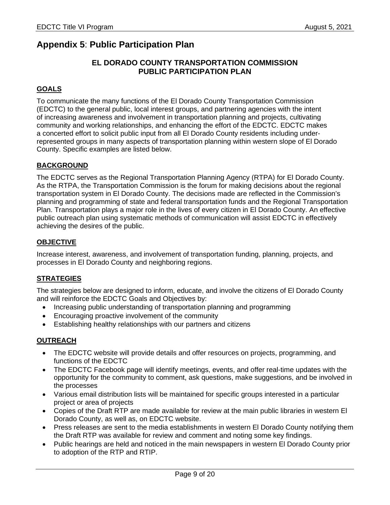# **Appendix 5**: **Public Participation Plan**

# **EL DORADO COUNTY TRANSPORTATION COMMISSION PUBLIC PARTICIPATION PLAN**

# **GOALS**

To communicate the many functions of the El Dorado County Transportation Commission (EDCTC) to the general public, local interest groups, and partnering agencies with the intent of increasing awareness and involvement in transportation planning and projects, cultivating community and working relationships, and enhancing the effort of the EDCTC. EDCTC makes a concerted effort to solicit public input from all El Dorado County residents including underrepresented groups in many aspects of transportation planning within western slope of El Dorado County. Specific examples are listed below.

# **BACKGROUND**

The EDCTC serves as the Regional Transportation Planning Agency (RTPA) for El Dorado County. As the RTPA, the Transportation Commission is the forum for making decisions about the regional transportation system in El Dorado County. The decisions made are reflected in the Commission's planning and programming of state and federal transportation funds and the Regional Transportation Plan. Transportation plays a major role in the lives of every citizen in El Dorado County. An effective public outreach plan using systematic methods of communication will assist EDCTC in effectively achieving the desires of the public.

## **OBJECTIVE**

Increase interest, awareness, and involvement of transportation funding, planning, projects, and processes in El Dorado County and neighboring regions.

# **STRATEGIES**

The strategies below are designed to inform, educate, and involve the citizens of El Dorado County and will reinforce the EDCTC Goals and Objectives by:

- Increasing public understanding of transportation planning and programming
- Encouraging proactive involvement of the community
- Establishing healthy relationships with our partners and citizens

# **OUTREACH**

- The EDCTC website will provide details and offer resources on projects, programming, and functions of the EDCTC
- The EDCTC Facebook page will identify meetings, events, and offer real-time updates with the opportunity for the community to comment, ask questions, make suggestions, and be involved in the processes
- Various email distribution lists will be maintained for specific groups interested in a particular project or area of projects
- Copies of the Draft RTP are made available for review at the main public libraries in western El Dorado County, as well as, on EDCTC website.
- Press releases are sent to the media establishments in western El Dorado County notifying them the Draft RTP was available for review and comment and noting some key findings.
- Public hearings are held and noticed in the main newspapers in western El Dorado County prior to adoption of the RTP and RTIP.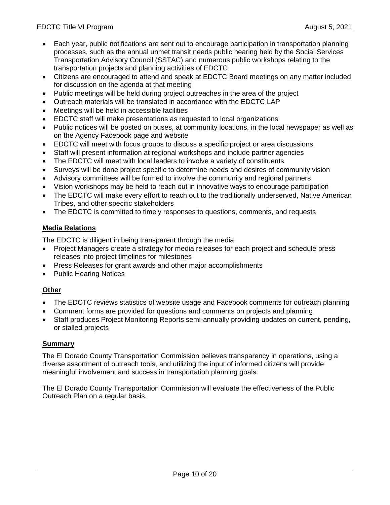- Each year, public notifications are sent out to encourage participation in transportation planning processes, such as the annual unmet transit needs public hearing held by the Social Services Transportation Advisory Council (SSTAC) and numerous public workshops relating to the transportation projects and planning activities of EDCTC
- Citizens are encouraged to attend and speak at EDCTC Board meetings on any matter included for discussion on the agenda at that meeting
- Public meetings will be held during project outreaches in the area of the project
- Outreach materials will be translated in accordance with the EDCTC LAP
- Meetings will be held in accessible facilities
- EDCTC staff will make presentations as requested to local organizations
- Public notices will be posted on buses, at community locations, in the local newspaper as well as on the Agency Facebook page and website
- EDCTC will meet with focus groups to discuss a specific project or area discussions
- Staff will present information at regional workshops and include partner agencies
- The EDCTC will meet with local leaders to involve a variety of constituents
- Surveys will be done project specific to determine needs and desires of community vision
- Advisory committees will be formed to involve the community and regional partners
- Vision workshops may be held to reach out in innovative ways to encourage participation
- The EDCTC will make every effort to reach out to the traditionally underserved, Native American Tribes, and other specific stakeholders
- The EDCTC is committed to timely responses to questions, comments, and requests

# **Media Relations**

The EDCTC is diligent in being transparent through the media.

- Project Managers create a strategy for media releases for each project and schedule press releases into project timelines for milestones
- Press Releases for grant awards and other major accomplishments
- Public Hearing Notices

# **Other**

- The EDCTC reviews statistics of website usage and Facebook comments for outreach planning
- Comment forms are provided for questions and comments on projects and planning
- Staff produces Project Monitoring Reports semi-annually providing updates on current, pending, or stalled projects

# **Summary**

The El Dorado County Transportation Commission believes transparency in operations, using a diverse assortment of outreach tools, and utilizing the input of informed citizens will provide meaningful involvement and success in transportation planning goals.

The El Dorado County Transportation Commission will evaluate the effectiveness of the Public Outreach Plan on a regular basis.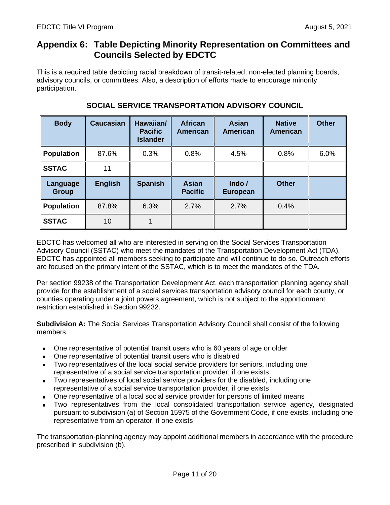# **Appendix 6: Table Depicting Minority Representation on Committees and Councils Selected by EDCTC**

This is a required table depicting racial breakdown of transit-related, non-elected planning boards, advisory councils, or committees. Also, a description of efforts made to encourage minority participation.

| <b>Body</b>              | <b>Caucasian</b> | Hawaiian/<br><b>Pacific</b><br><b>Islander</b> | <b>African</b><br>American     | <b>Asian</b><br>American         | <b>Native</b><br><b>American</b> | <b>Other</b> |
|--------------------------|------------------|------------------------------------------------|--------------------------------|----------------------------------|----------------------------------|--------------|
| <b>Population</b>        | 87.6%            | 0.3%                                           | 0.8%                           | 4.5%                             | 0.8%                             | 6.0%         |
| <b>SSTAC</b>             | 11               |                                                |                                |                                  |                                  |              |
| Language<br><b>Group</b> | <b>English</b>   | <b>Spanish</b>                                 | <b>Asian</b><br><b>Pacific</b> | Indo $\prime$<br><b>European</b> | <b>Other</b>                     |              |
| <b>Population</b>        | 87.8%            | 6.3%                                           | 2.7%                           | 2.7%                             | 0.4%                             |              |
| <b>SSTAC</b>             | 10               |                                                |                                |                                  |                                  |              |

# **SOCIAL SERVICE TRANSPORTATION ADVISORY COUNCIL**

EDCTC has welcomed all who are interested in serving on the Social Services Transportation Advisory Council (SSTAC) who meet the mandates of the Transportation Development Act (TDA). EDCTC has appointed all members seeking to participate and will continue to do so. Outreach efforts are focused on the primary intent of the SSTAC, which is to meet the mandates of the TDA.

Per section 99238 of the Transportation Development Act, each transportation planning agency shall provide for the establishment of a social services transportation advisory council for each county, or counties operating under a joint powers agreement, which is not subject to the apportionment restriction established in Section 99232.

**Subdivision A:** The Social Services Transportation Advisory Council shall consist of the following members:

- One representative of potential transit users who is 60 years of age or older
- One representative of potential transit users who is disabled
- Two representatives of the local social service providers for seniors, including one representative of a social service transportation provider, if one exists
- Two representatives of local social service providers for the disabled, including one representative of a social service transportation provider, if one exists
- One representative of a local social service provider for persons of limited means
- Two representatives from the local consolidated transportation service agency, designated pursuant to subdivision (a) of Section 15975 of the Government Code, if one exists, including one representative from an operator, if one exists

The transportation-planning agency may appoint additional members in accordance with the procedure prescribed in subdivision (b).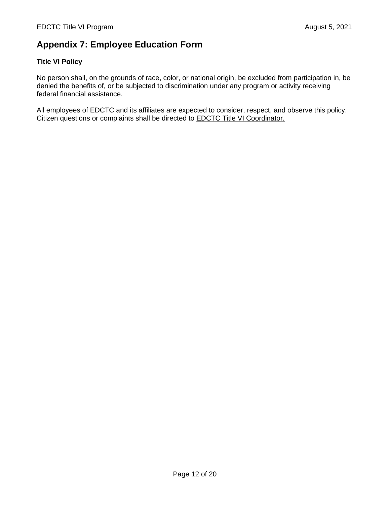# **Appendix 7: Employee Education Form**

# **Title VI Policy**

No person shall, on the grounds of race, color, or national origin, be excluded from participation in, be denied the benefits of, or be subjected to discrimination under any program or activity receiving federal financial assistance.

All employees of EDCTC and its affiliates are expected to consider, respect, and observe this policy. Citizen questions or complaints shall be directed to **EDCTC Title VI Coordinator**.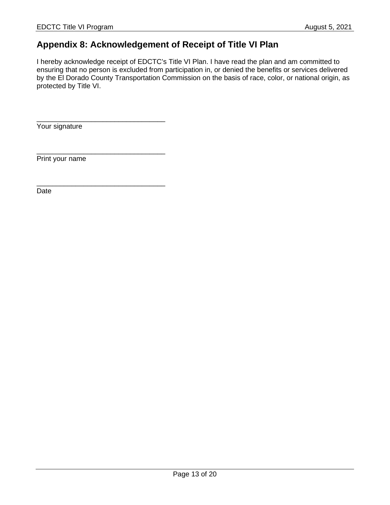# **Appendix 8: Acknowledgement of Receipt of Title VI Plan**

I hereby acknowledge receipt of EDCTC's Title VI Plan. I have read the plan and am committed to ensuring that no person is excluded from participation in, or denied the benefits or services delivered by the El Dorado County Transportation Commission on the basis of race, color, or national origin, as protected by Title VI.

Your signature

\_\_\_\_\_\_\_\_\_\_\_\_\_\_\_\_\_\_\_\_\_\_\_\_\_\_\_\_\_\_\_\_\_

\_\_\_\_\_\_\_\_\_\_\_\_\_\_\_\_\_\_\_\_\_\_\_\_\_\_\_\_\_\_\_\_\_

\_\_\_\_\_\_\_\_\_\_\_\_\_\_\_\_\_\_\_\_\_\_\_\_\_\_\_\_\_\_\_\_\_

Print your name

Date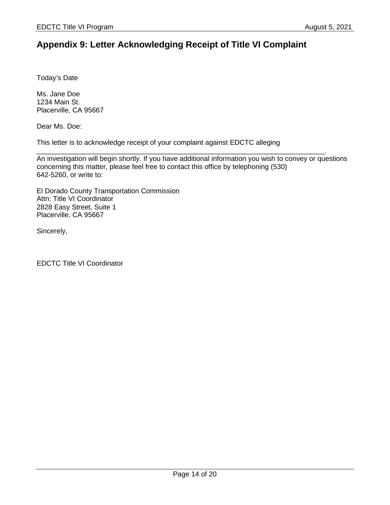# **Appendix 9: Letter Acknowledging Receipt of Title VI Complaint**

Today's Date

Ms. Jane Doe 1234 Main St. Placerville, CA 95667

Dear Ms. Doe:

This letter is to acknowledge receipt of your complaint against EDCTC alleging

\_\_\_\_\_\_\_\_\_\_\_\_\_\_\_\_\_\_\_\_\_\_\_\_\_\_\_\_\_\_\_\_\_\_\_\_\_\_\_\_\_\_\_\_\_\_\_\_\_\_\_\_\_\_\_\_\_\_\_\_\_\_\_\_\_\_\_\_\_\_\_\_\_\_. An investigation will begin shortly. If you have additional information you wish to convey or questions concerning this matter, please feel free to contact this office by telephoning (530) 642-5260, or write to:

El Dorado County Transportation Commission Attn: Title VI Coordinator 2828 Easy Street, Suite 1 Placerville, CA 95667

Sincerely,

EDCTC Title VI Coordinator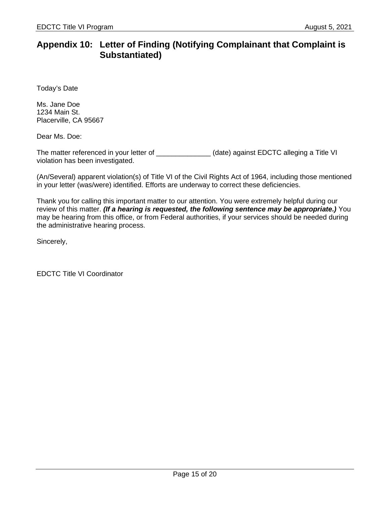# **Appendix 10: Letter of Finding (Notifying Complainant that Complaint is Substantiated)**

Today's Date

Ms. Jane Doe 1234 Main St. Placerville, CA 95667

Dear Ms. Doe:

The matter referenced in your letter of \_\_\_\_\_\_\_\_\_\_\_\_\_\_\_(date) against EDCTC alleging a Title VI violation has been investigated.

(An/Several) apparent violation(s) of Title VI of the Civil Rights Act of 1964, including those mentioned in your letter (was/were) identified. Efforts are underway to correct these deficiencies.

Thank you for calling this important matter to our attention. You were extremely helpful during our review of this matter. *(If a hearing is requested, the following sentence may be appropriate.)* You may be hearing from this office, or from Federal authorities, if your services should be needed during the administrative hearing process.

Sincerely,

EDCTC Title VI Coordinator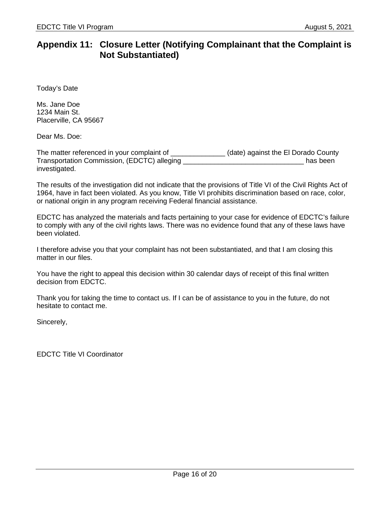# **Appendix 11: Closure Letter (Notifying Complainant that the Complaint is Not Substantiated)**

Today's Date

Ms. Jane Doe 1234 Main St. Placerville, CA 95667

Dear Ms. Doe:

The matter referenced in your complaint of  $\qquad \qquad$  (date) against the El Dorado County Transportation Commission, (EDCTC) alleging \_\_\_\_\_\_\_\_\_\_\_\_\_\_\_\_\_\_\_\_\_\_\_\_\_\_\_\_\_\_\_ has been investigated.

The results of the investigation did not indicate that the provisions of Title VI of the Civil Rights Act of 1964, have in fact been violated. As you know, Title VI prohibits discrimination based on race, color, or national origin in any program receiving Federal financial assistance.

EDCTC has analyzed the materials and facts pertaining to your case for evidence of EDCTC's failure to comply with any of the civil rights laws. There was no evidence found that any of these laws have been violated.

I therefore advise you that your complaint has not been substantiated, and that I am closing this matter in our files.

You have the right to appeal this decision within 30 calendar days of receipt of this final written decision from EDCTC.

Thank you for taking the time to contact us. If I can be of assistance to you in the future, do not hesitate to contact me.

Sincerely,

EDCTC Title VI Coordinator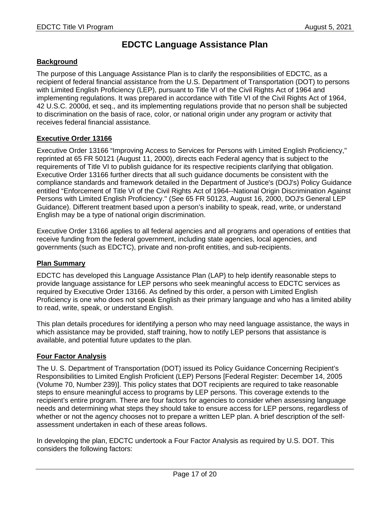# **EDCTC Language Assistance Plan**

## **Background**

The purpose of this Language Assistance Plan is to clarify the responsibilities of EDCTC, as a recipient of federal financial assistance from the U.S. Department of Transportation (DOT) to persons with Limited English Proficiency (LEP), pursuant to Title VI of the Civil Rights Act of 1964 and implementing regulations. It was prepared in accordance with Title VI of the Civil Rights Act of 1964, 42 U.S.C. 2000d, et seq., and its implementing regulations provide that no person shall be subjected to discrimination on the basis of race, color, or national origin under any program or activity that receives federal financial assistance.

# **Executive Order 13166**

Executive Order 13166 "Improving Access to Services for Persons with Limited English Proficiency,'' reprinted at 65 FR 50121 (August 11, 2000), directs each Federal agency that is subject to the requirements of Title VI to publish guidance for its respective recipients clarifying that obligation. Executive Order 13166 further directs that all such guidance documents be consistent with the compliance standards and framework detailed in the Department of Justice's (DOJ's) Policy Guidance entitled "Enforcement of Title VI of the Civil Rights Act of 1964--National Origin Discrimination Against Persons with Limited English Proficiency.'' (See 65 FR 50123, August 16, 2000, DOJ's General LEP Guidance). Different treatment based upon a person's inability to speak, read, write, or understand English may be a type of national origin discrimination.

Executive Order 13166 applies to all federal agencies and all programs and operations of entities that receive funding from the federal government, including state agencies, local agencies, and governments (such as EDCTC), private and non-profit entities, and sub-recipients.

## **Plan Summary**

EDCTC has developed this Language Assistance Plan (LAP) to help identify reasonable steps to provide language assistance for LEP persons who seek meaningful access to EDCTC services as required by Executive Order 13166. As defined by this order, a person with Limited English Proficiency is one who does not speak English as their primary language and who has a limited ability to read, write, speak, or understand English.

This plan details procedures for identifying a person who may need language assistance, the ways in which assistance may be provided, staff training, how to notify LEP persons that assistance is available, and potential future updates to the plan.

# **Four Factor Analysis**

The U. S. Department of Transportation (DOT) issued its Policy Guidance Concerning Recipient's Responsibilities to Limited English Proficient (LEP) Persons [Federal Register: December 14, 2005 (Volume 70, Number 239)]. This policy states that DOT recipients are required to take reasonable steps to ensure meaningful access to programs by LEP persons. This coverage extends to the recipient's entire program. There are four factors for agencies to consider when assessing language needs and determining what steps they should take to ensure access for LEP persons, regardless of whether or not the agency chooses not to prepare a written LEP plan. A brief description of the selfassessment undertaken in each of these areas follows.

In developing the plan, EDCTC undertook a Four Factor Analysis as required by U.S. DOT. This considers the following factors: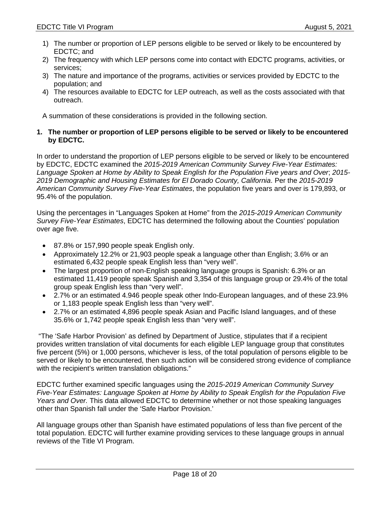- 1) The number or proportion of LEP persons eligible to be served or likely to be encountered by EDCTC; and
- 2) The frequency with which LEP persons come into contact with EDCTC programs, activities, or services;
- 3) The nature and importance of the programs, activities or services provided by EDCTC to the population; and
- 4) The resources available to EDCTC for LEP outreach, as well as the costs associated with that outreach.

A summation of these considerations is provided in the following section.

## **1. The number or proportion of LEP persons eligible to be served or likely to be encountered by EDCTC.**

In order to understand the proportion of LEP persons eligible to be served or likely to be encountered by EDCTC, EDCTC examined the *2015-2019 American Community Survey Five-Year Estimates: Language Spoken at Home by Ability to Speak English for the Population Five years and Over*; *2015- 2019 Demographic and Housing Estimates for El Dorado County, California*. Per the *2015-2019 American Community Survey Five-Year Estimates*, the population five years and over is 179,893, or 95.4% of the population.

Using the percentages in "Languages Spoken at Home" from the *2015-2019 American Community Survey Five-Year Estimates*, EDCTC has determined the following about the Counties' population over age five.

- 87.8% or 157,990 people speak English only.
- Approximately 12.2% or 21,903 people speak a language other than English; 3.6% or an estimated 6,432 people speak English less than "very well".
- The largest proportion of non-English speaking language groups is Spanish: 6.3% or an estimated 11,419 people speak Spanish and 3,354 of this language group or 29.4% of the total group speak English less than "very well".
- 2.7% or an estimated 4.946 people speak other Indo-European languages, and of these 23.9% or 1,183 people speak English less than "very well".
- 2.7% or an estimated 4,896 people speak Asian and Pacific Island languages, and of these 35.6% or 1,742 people speak English less than "very well".

 "The 'Safe Harbor Provision' as defined by Department of Justice, stipulates that if a recipient provides written translation of vital documents for each eligible LEP language group that constitutes five percent (5%) or 1,000 persons, whichever is less, of the total population of persons eligible to be served or likely to be encountered, then such action will be considered strong evidence of compliance with the recipient's written translation obligations."

EDCTC further examined specific languages using the *2015-2019 American Community Survey Five-Year Estimates: Language Spoken at Home by Ability to Speak English for the Population Five Years and Over.* This data allowed EDCTC to determine whether or not those speaking languages other than Spanish fall under the 'Safe Harbor Provision.'

All language groups other than Spanish have estimated populations of less than five percent of the total population. EDCTC will further examine providing services to these language groups in annual reviews of the Title VI Program.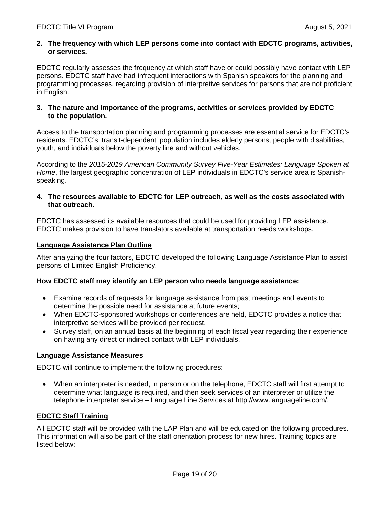#### **2. The frequency with which LEP persons come into contact with EDCTC programs, activities, or services.**

EDCTC regularly assesses the frequency at which staff have or could possibly have contact with LEP persons. EDCTC staff have had infrequent interactions with Spanish speakers for the planning and programming processes, regarding provision of interpretive services for persons that are not proficient in English.

#### **3. The nature and importance of the programs, activities or services provided by EDCTC to the population.**

Access to the transportation planning and programming processes are essential service for EDCTC's residents. EDCTC's 'transit-dependent' population includes elderly persons, people with disabilities, youth, and individuals below the poverty line and without vehicles.

According to the *2015-2019 American Community Survey Five-Year Estimates: Language Spoken at Home*, the largest geographic concentration of LEP individuals in EDCTC's service area is Spanishspeaking.

## **4. The resources available to EDCTC for LEP outreach, as well as the costs associated with that outreach.**

EDCTC has assessed its available resources that could be used for providing LEP assistance. EDCTC makes provision to have translators available at transportation needs workshops.

## **Language Assistance Plan Outline**

After analyzing the four factors, EDCTC developed the following Language Assistance Plan to assist persons of Limited English Proficiency.

## **How EDCTC staff may identify an LEP person who needs language assistance:**

- Examine records of requests for language assistance from past meetings and events to determine the possible need for assistance at future events;
- When EDCTC-sponsored workshops or conferences are held, EDCTC provides a notice that interpretive services will be provided per request.
- Survey staff, on an annual basis at the beginning of each fiscal year regarding their experience on having any direct or indirect contact with LEP individuals.

## **Language Assistance Measures**

EDCTC will continue to implement the following procedures:

 When an interpreter is needed, in person or on the telephone, EDCTC staff will first attempt to determine what language is required, and then seek services of an interpreter or utilize the telephone interpreter service – Language Line Services at http://www.languageline.com/.

## **EDCTC Staff Training**

All EDCTC staff will be provided with the LAP Plan and will be educated on the following procedures. This information will also be part of the staff orientation process for new hires. Training topics are listed below: